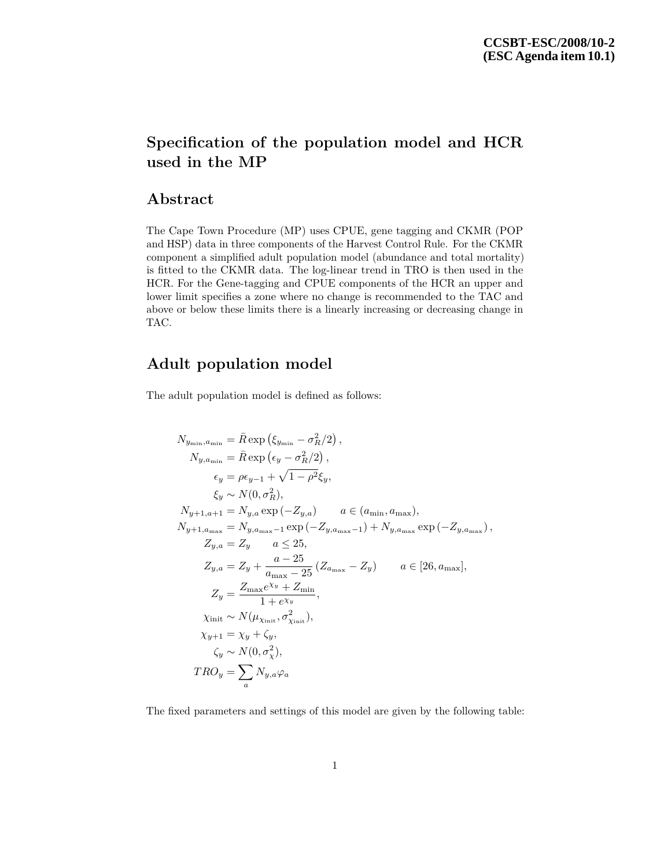## **Specification of the population model and HCR used in the MP**

## **Abstract**

The Cape Town Procedure (MP) uses CPUE, gene tagging and CKMR (POP and HSP) data in three components of the Harvest Control Rule. For the CKMR component a simplified adult population model (abundance and total mortality) is fitted to the CKMR data. The log-linear trend in TRO is then used in the HCR. For the Gene-tagging and CPUE components of the HCR an upper and lower limit specifies a zone where no change is recommended to the TAC and above or below these limits there is a linearly increasing or decreasing change in TAC.

## **Adult population model**

The adult population model is defined as follows:

$$
N_{y_{\min}, a_{\min}} = \bar{R} \exp (\xi_{y_{\min}} - \sigma_R^2/2),
$$
  
\n
$$
N_{y, a_{\min}} = \bar{R} \exp (\epsilon_y - \sigma_R^2/2),
$$
  
\n
$$
\epsilon_y = \rho \epsilon_{y-1} + \sqrt{1 - \rho^2} \xi_y,
$$
  
\n
$$
\xi_y \sim N(0, \sigma_R^2),
$$
  
\n
$$
N_{y+1, a+1} = N_{y, a} \exp (-Z_{y, a}) \qquad a \in (a_{\min}, a_{\max}),
$$
  
\n
$$
N_{y+1, a_{\max}} = N_{y, a_{\max}-1} \exp (-Z_{y, a_{\max}-1}) + N_{y, a_{\max}} \exp (-Z_{y, a_{\max}}),
$$
  
\n
$$
Z_{y, a} = Z_y \qquad a \le 25,
$$
  
\n
$$
Z_{y, a} = Z_y + \frac{a - 25}{a_{\max} - 25} (Z_{a_{\max}} - Z_y) \qquad a \in [26, a_{\max}],
$$
  
\n
$$
Z_y = \frac{Z_{\max} e^{\chi_y} + Z_{\min}}{1 + e^{\chi_y}},
$$
  
\n
$$
\chi_{\text{init}} \sim N(\mu_{\chi_{\text{init}}}, \sigma_{\chi_{\text{init}}}^2),
$$
  
\n
$$
\chi_{y+1} = \chi_y + \zeta_y,
$$
  
\n
$$
\zeta_y \sim N(0, \sigma_\chi^2),
$$
  
\n
$$
T R O_y = \sum_a N_{y, a} \varphi_a
$$

The fixed parameters and settings of this model are given by the following table: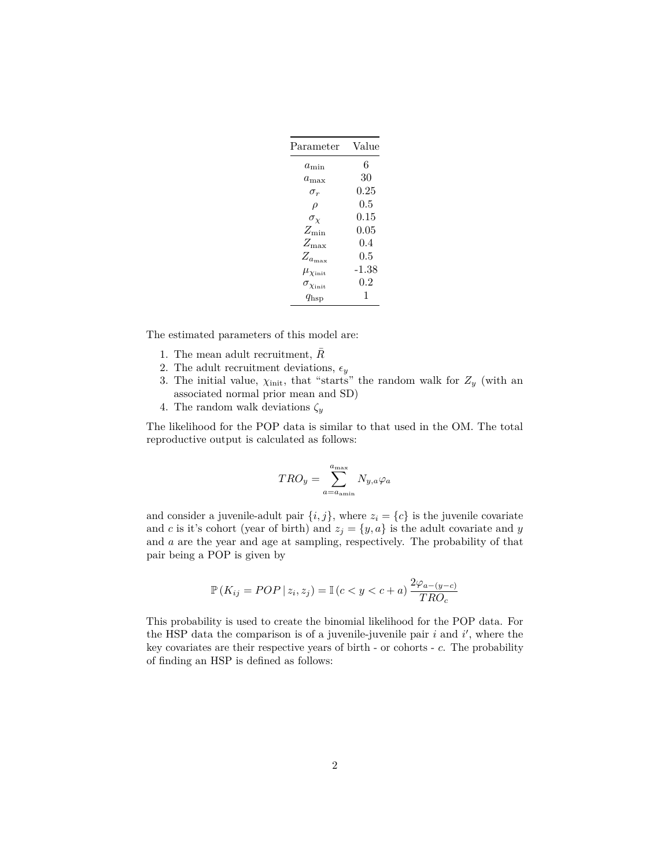| $\rm Parameter$            | Value      |
|----------------------------|------------|
| $a_{\rm min}$              | 6          |
| $a_{\rm max}$              | 30         |
| $\sigma_r$                 | $\rm 0.25$ |
| $\rho$                     | $0.5\,$    |
| $\sigma_{\chi}$            | $0.15\,$   |
| $Z_{\rm min}$              | $0.05\,$   |
| $Z_{\rm max}$              | 0.4        |
| $Z_{a_{\rm max}}$          | 0.5        |
| $\mu_{\chi_{\rm init}}$    | -1.38      |
| $\sigma_{\chi_{\rm init}}$ | $0.2\,$    |
| $q_{\rm{hsp}}$             | 1          |

The estimated parameters of this model are:

- 1. The mean adult recruitment,  $\bar{R}$
- 2. The adult recruitment deviations,  $\epsilon_y$
- 3. The initial value,  $\chi_{init}$ , that "starts" the random walk for  $Z_y$  (with an associated normal prior mean and SD)
- 4. The random walk deviations *ζ<sup>y</sup>*

The likelihood for the POP data is similar to that used in the OM. The total reproductive output is calculated as follows:

$$
TRO_y = \sum_{a=a_{\text{amin}}}^{a_{\text{max}}} N_{y,a} \varphi_a
$$

and consider a juvenile-adult pair  $\{i, j\}$ , where  $z_i = \{c\}$  is the juvenile covariate and *c* is it's cohort (year of birth) and  $z_j = \{y, a\}$  is the adult covariate and *y* and *a* are the year and age at sampling, respectively. The probability of that pair being a POP is given by

$$
\mathbb{P}\left(K_{ij} = POP \mid z_i, z_j\right) = \mathbb{I}\left(c < y < c + a\right) \frac{2\varphi_{a-(y-c)}}{TRO_c}
$$

This probability is used to create the binomial likelihood for the POP data. For the HSP data the comparison is of a juvenile-juvenile pair  $i$  and  $i'$ , where the key covariates are their respective years of birth - or cohorts - *c*. The probability of finding an HSP is defined as follows: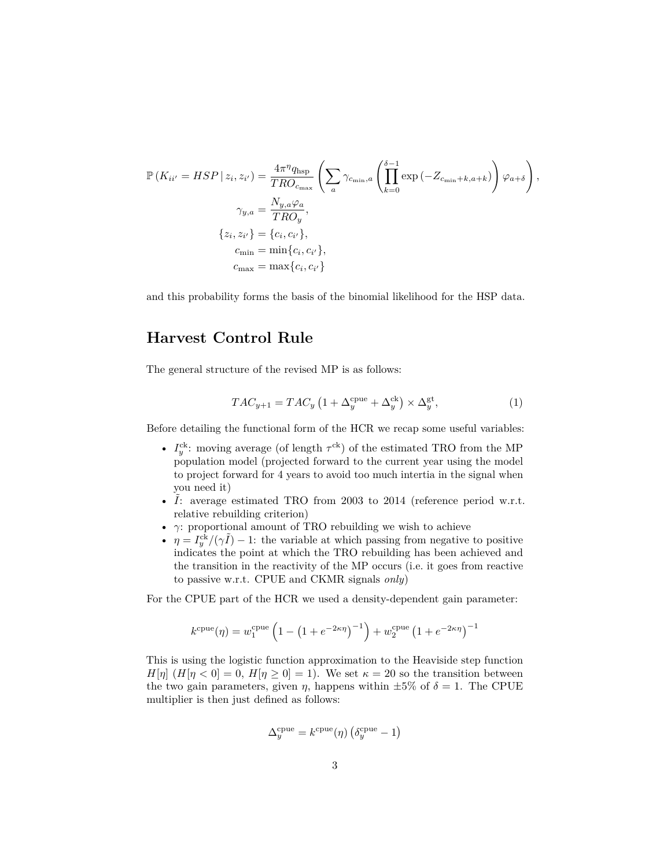$$
\mathbb{P}\left(K_{ii'} = HSP \mid z_i, z_{i'}\right) = \frac{4\pi^{\eta}q_{\text{hsp}}}{TRO_{c_{\text{max}}}} \left(\sum_{a} \gamma_{c_{\text{min}},a} \left(\prod_{k=0}^{\delta-1} \exp\left(-Z_{c_{\text{min}}+k, a+k}\right)\right) \varphi_{a+\delta}\right),
$$
  

$$
\gamma_{y,a} = \frac{N_{y,a} \varphi_a}{TRO_y},
$$
  

$$
\{z_i, z_{i'}\} = \{c_i, c_{i'}\},
$$
  

$$
c_{\text{min}} = \min\{c_i, c_{i'}\},
$$
  

$$
c_{\text{max}} = \max\{c_i, c_{i'}\}
$$

and this probability forms the basis of the binomial likelihood for the HSP data.

## **Harvest Control Rule**

The general structure of the revised MP is as follows:

$$
TAC_{y+1} = TAC_y \left(1 + \Delta_y^{\text{cque}} + \Delta_y^{\text{ck}}\right) \times \Delta_y^{\text{gt}},\tag{1}
$$

Before detailing the functional form of the HCR we recap some useful variables:

- $I_y^{ck}$ : moving average (of length  $\tau^{ck}$ ) of the estimated TRO from the MP population model (projected forward to the current year using the model to project forward for 4 years to avoid too much intertia in the signal when you need it)
- $\tilde{I}$ : average estimated TRO from 2003 to 2014 (reference period w.r.t. relative rebuilding criterion)
- $\bullet~~ \gamma \colon$  proportional amount of TRO rebuilding we wish to achieve
- $\eta = I_y^{c\bar{k}}/(\gamma \tilde{I}) 1$ : the variable at which passing from negative to positive indicates the point at which the TRO rebuilding has been achieved and the transition in the reactivity of the MP occurs (i.e. it goes from reactive to passive w.r.t. CPUE and CKMR signals *only*)

For the CPUE part of the HCR we used a density-dependent gain parameter:

$$
k^{\text{cque}}(\eta) = w_1^{\text{cque}} \left( 1 - \left( 1 + e^{-2\kappa \eta} \right)^{-1} \right) + w_2^{\text{cque}} \left( 1 + e^{-2\kappa \eta} \right)^{-1}
$$

This is using the logistic function approximation to the Heaviside step function  $H[\eta]$  ( $H[\eta < 0] = 0$ ,  $H[\eta \ge 0] = 1$ ). We set  $\kappa = 20$  so the transition between the two gain parameters, given  $\eta$ , happens within  $\pm 5\%$  of  $\delta = 1$ . The CPUE multiplier is then just defined as follows:

$$
\Delta_y^{\text{cque}} = k^{\text{cque}}(\eta) \left( \delta_y^{\text{cque}} - 1 \right)
$$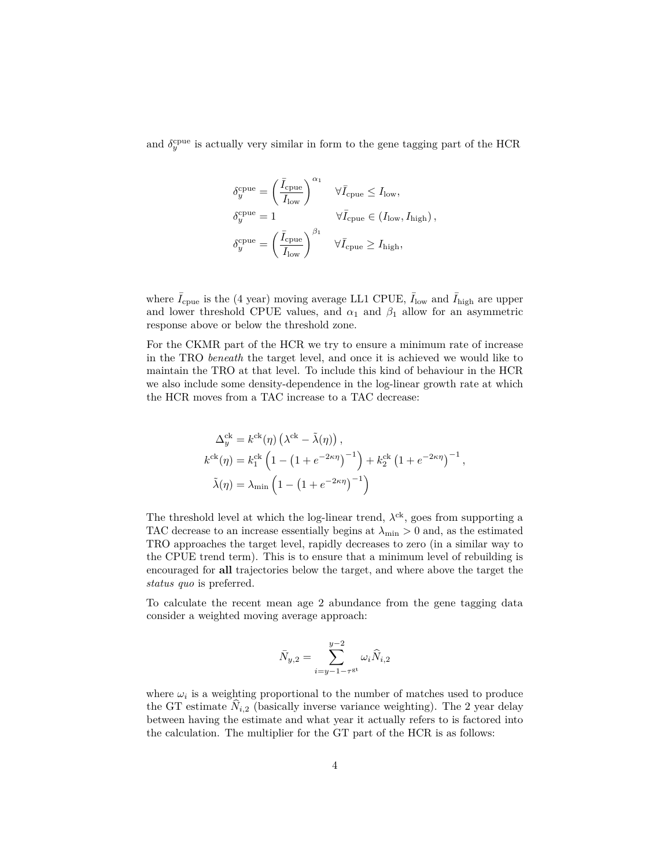and  $\delta_y^{\text{cpue}}$  is actually very similar in form to the gene tagging part of the HCR

$$
\begin{split} \delta_y^{\text{cque}} &= \left(\frac{\bar{I}_{\text{cque}}}{I_{\text{low}}}\right)^{\alpha_1} \quad \forall \bar{I}_{\text{cque}} \leq I_{\text{low}},\\ \delta_y^{\text{cque}} &= 1 \qquad \qquad \forall \bar{I}_{\text{cque}} \in (I_{\text{low}}, I_{\text{high}}) \,,\\ \delta_y^{\text{cque}} &= \left(\frac{\bar{I}_{\text{cque}}}{I_{\text{low}}}\right)^{\beta_1} \quad \forall \bar{I}_{\text{cque}} \geq I_{\text{high}}, \end{split}
$$

where  $\bar{I}_{\text{cque}}$  is the (4 year) moving average LL1 CPUE,  $\bar{I}_{\text{low}}$  and  $\bar{I}_{\text{high}}$  are upper and lower threshold CPUE values, and  $\alpha_1$  and  $\beta_1$  allow for an asymmetric response above or below the threshold zone.

For the CKMR part of the HCR we try to ensure a minimum rate of increase in the TRO *beneath* the target level, and once it is achieved we would like to maintain the TRO at that level. To include this kind of behaviour in the HCR we also include some density-dependence in the log-linear growth rate at which the HCR moves from a TAC increase to a TAC decrease:

$$
\Delta_y^{\text{ck}} = k^{\text{ck}}(\eta) \left(\lambda^{\text{ck}} - \tilde{\lambda}(\eta)\right),
$$
  
\n
$$
k^{\text{ck}}(\eta) = k_1^{\text{ck}} \left(1 - \left(1 + e^{-2\kappa\eta}\right)^{-1}\right) + k_2^{\text{ck}} \left(1 + e^{-2\kappa\eta}\right)^{-1},
$$
  
\n
$$
\tilde{\lambda}(\eta) = \lambda_{\text{min}} \left(1 - \left(1 + e^{-2\kappa\eta}\right)^{-1}\right)
$$

The threshold level at which the log-linear trend,  $\lambda^{ck}$ , goes from supporting a TAC decrease to an increase essentially begins at  $\lambda_{\min} > 0$  and, as the estimated TRO approaches the target level, rapidly decreases to zero (in a similar way to the CPUE trend term). This is to ensure that a minimum level of rebuilding is encouraged for **all** trajectories below the target, and where above the target the *status quo* is preferred.

To calculate the recent mean age 2 abundance from the gene tagging data consider a weighted moving average approach:

$$
\bar{N}_{y,2} = \sum_{i=y-1-\tau^{\text{gt}}}^{y-2} \omega_i \hat{N}_{i,2}
$$

where  $\omega_i$  is a weighting proportional to the number of matches used to produce the GT estimate  $\hat{N}_{i,2}$  (basically inverse variance weighting). The 2 year delay between having the estimate and what year it actually refers to is factored into the calculation. The multiplier for the GT part of the HCR is as follows: